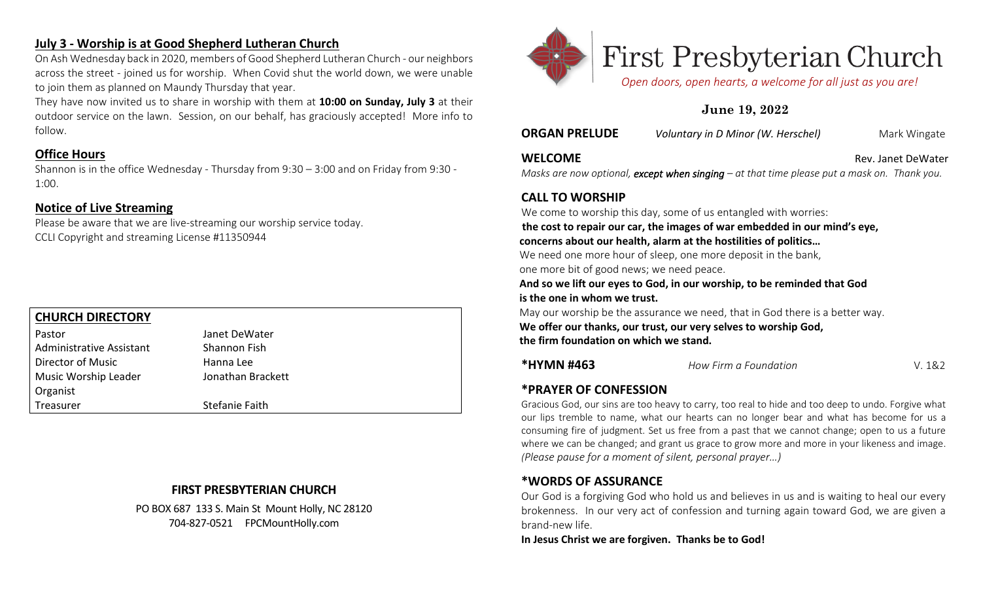# **July 3 - Worship is at Good Shepherd Lutheran Church**

On Ash Wednesday back in 2020, members of Good Shepherd Lutheran Church - our neighbors across the street - joined us for worship. When Covid shut the world down, we were unable to join them as planned on Maundy Thursday that year.

They have now invited us to share in worship with them at **10:00 on Sunday, July 3** at their outdoor service on the lawn. Session, on our behalf, has graciously accepted! More info to follow.

# **Office Hours**

Shannon is in the office Wednesday - Thursday from 9:30 – 3:00 and on Friday from 9:30 - 1:00.

# **Notice of Live Streaming**

Please be aware that we are live-streaming our worship service today. CCLI Copyright and streaming License #11350944

# **CHURCH DIRECTORY**

| Pastor                          | Janet DeWater     |
|---------------------------------|-------------------|
| <b>Administrative Assistant</b> | Shannon Fish      |
| Director of Music               | Hanna Lee         |
| Music Worship Leader            | Jonathan Brackett |
| Organist                        |                   |
| Treasurer                       | Stefanie Faith    |

# **FIRST PRESBYTERIAN CHURCH**

PO BOX 687 133 S. Main St Mount Holly, NC 28120 704-827-0521 FPCMountHolly.com



# 

 *Open doors, open hearts, a welcome for all just as you are!*

# **June 19, 2022**

**ORGAN PRELUDE** *Voluntary in D Minor (W. Herschel)* Mark Wingate

#### **WELCOME Rev. Janet DeWater Rev. Janet DeWater**

*Masks are now optional, except when singing – at that time please put a mask on. Thank you.* 

# **CALL TO WORSHIP**

We come to worship this day, some of us entangled with worries:

**the cost to repair our car, the images of war embedded in our mind's eye, concerns about our health, alarm at the hostilities of politics…**

We need one more hour of sleep, one more deposit in the bank, one more bit of good news; we need peace.

**And so we lift our eyes to God, in our worship, to be reminded that God is the one in whom we trust.**

May our worship be the assurance we need, that in God there is a better way. **We offer our thanks, our trust, our very selves to worship God, the firm foundation on which we stand.**

**\*HYMN #463** *How Firm a Foundation* V. 1&2

# **\*PRAYER OF CONFESSION**

Gracious God, our sins are too heavy to carry, too real to hide and too deep to undo. Forgive what our lips tremble to name, what our hearts can no longer bear and what has become for us a consuming fire of judgment. Set us free from a past that we cannot change; open to us a future where we can be changed; and grant us grace to grow more and more in your likeness and image. *(Please pause for a moment of silent, personal prayer…)*

# **\*WORDS OF ASSURANCE**

Our God is a forgiving God who hold us and believes in us and is waiting to heal our every brokenness. In our very act of confession and turning again toward God, we are given a brand-new life.

**In Jesus Christ we are forgiven. Thanks be to God!**